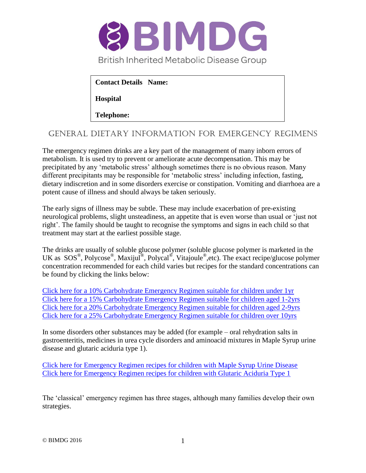

**Contact Details Name: Hospital Telephone:**

## General dietary information for emergency regimens

The emergency regimen drinks are a key part of the management of many inborn errors of metabolism. It is used try to prevent or ameliorate acute decompensation. This may be precipitated by any 'metabolic stress' although sometimes there is no obvious reason. Many different precipitants may be responsible for 'metabolic stress' including infection, fasting, dietary indiscretion and in some disorders exercise or constipation. Vomiting and diarrhoea are a potent cause of illness and should always be taken seriously.

The early signs of illness may be subtle. These may include exacerbation of pre-existing neurological problems, slight unsteadiness, an appetite that is even worse than usual or 'just not right'. The family should be taught to recognise the symptoms and signs in each child so that treatment may start at the earliest possible stage.

The drinks are usually of soluble glucose polymer (soluble glucose polymer is marketed in the UK as  $SOS^{\circledast}$ , Polycose<sup>®</sup>, Maxijul<sup>®</sup>, Polycal<sup>®</sup>, Vitajoule<sup>®</sup>, etc). The exact recipe/glucose polymer concentration recommended for each child varies but recipes for the standard concentrations can be found by clicking the links below:

[Click here for a 10% Carbohydrate Emergency Regimen suitable for children under 1yr](http://www.bimdg.org.uk/store/guidelines/MCADDRecipe_1Year_2014_421566_12052015.pdf) [Click here for a 15% Carbohydrate Emergency Regimen suitable for children aged 1-2yrs](http://www.bimdg.org.uk/store/guidelines/MCADDRecipe_1_2Years_2014_212867_12052015.pdf) [Click here for a 20% Carbohydrate Emergency Regimen suitable for children aged 2-9yrs](http://www.bimdg.org.uk/store/guidelines/MCADDRecipe_2_9Years_2014_384831_12052015.pdf) [Click here for a 25% Carbohydrate Emergency Regimen suitable for children over 10yrs](http://www.bimdg.org.uk/store/guidelines/MCADDRecipe_10Years_2014_921568_12052015.pdf)

In some disorders other substances may be added (for example – oral rehydration salts in gastroenteritis, medicines in urea cycle disorders and aminoacid mixtures in Maple Syrup urine disease and glutaric aciduria type 1).

[Click here for Emergency Regimen recipes for children with Maple Syrup Urine Disease](http://www.bimdg.org.uk/store/guidelines/MSUD_DIETARY_EMERGENCY_GUIDELINES_WITH_LINKS_2017_572559_05042017.pdf) Click here [for Emergency Regimen recipes for children with Glutaric Aciduria Type 1](http://www.bimdg.org.uk/store/guidelines/GA1_DIETARY_EMERGENCY_GUIDELINES_WITH_LINKS_2017_294207_05042017.pdf)

The 'classical' emergency regimen has three stages, although many families develop their own strategies.